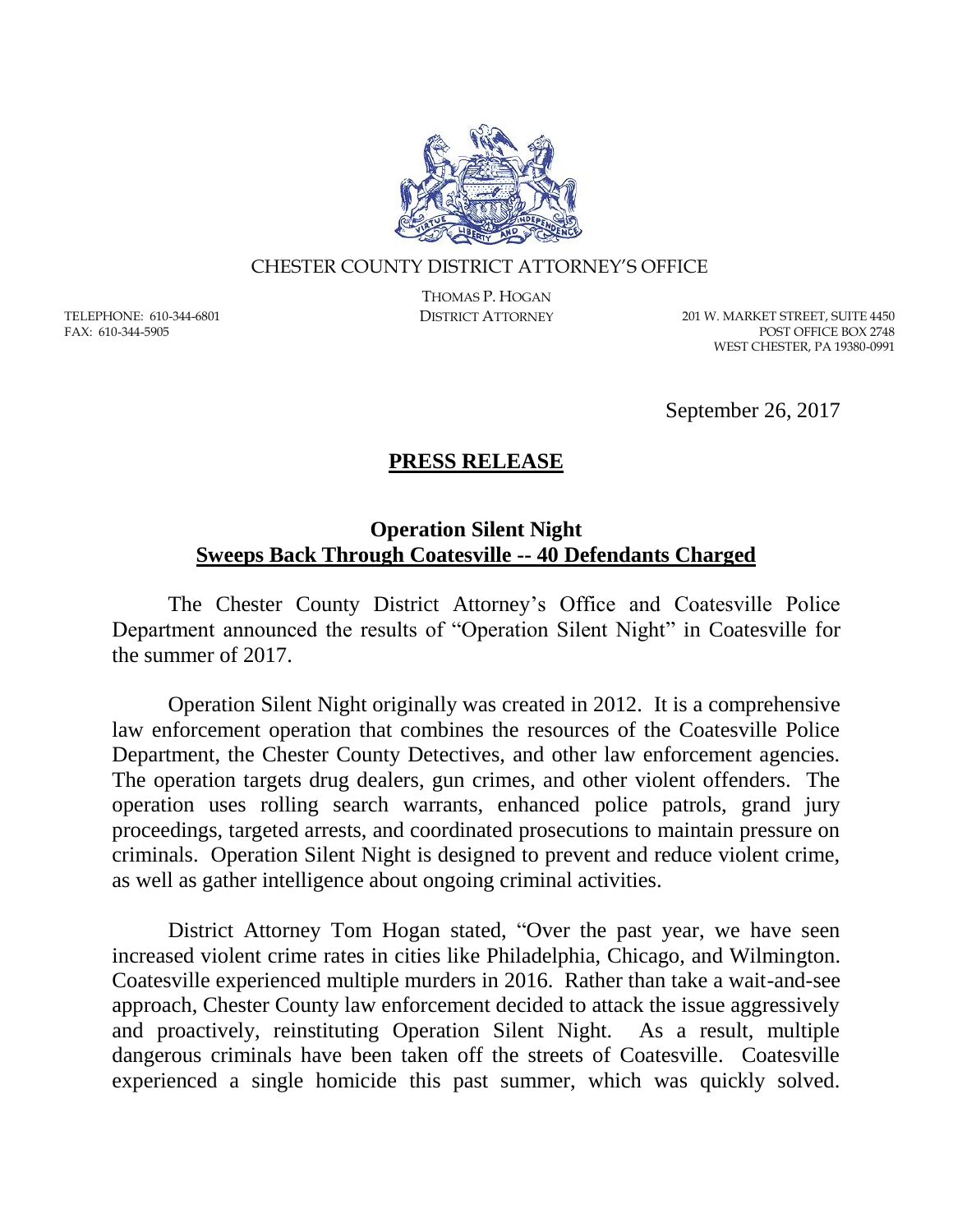

## CHESTER COUNTY DISTRICT ATTORNEY'S OFFICE

TELEPHONE: 610-344-6801 FAX: 610-344-5905

THOMAS P. HOGAN

DISTRICT ATTORNEY 201 W. MARKET STREET, SUITE 4450 POST OFFICE BOX 2748 WEST CHESTER, PA 19380-0991

September 26, 2017

## **PRESS RELEASE**

## **Operation Silent Night Sweeps Back Through Coatesville -- 40 Defendants Charged**

The Chester County District Attorney's Office and Coatesville Police Department announced the results of "Operation Silent Night" in Coatesville for the summer of 2017.

Operation Silent Night originally was created in 2012. It is a comprehensive law enforcement operation that combines the resources of the Coatesville Police Department, the Chester County Detectives, and other law enforcement agencies. The operation targets drug dealers, gun crimes, and other violent offenders. The operation uses rolling search warrants, enhanced police patrols, grand jury proceedings, targeted arrests, and coordinated prosecutions to maintain pressure on criminals. Operation Silent Night is designed to prevent and reduce violent crime, as well as gather intelligence about ongoing criminal activities.

District Attorney Tom Hogan stated, "Over the past year, we have seen increased violent crime rates in cities like Philadelphia, Chicago, and Wilmington. Coatesville experienced multiple murders in 2016. Rather than take a wait-and-see approach, Chester County law enforcement decided to attack the issue aggressively and proactively, reinstituting Operation Silent Night. As a result, multiple dangerous criminals have been taken off the streets of Coatesville. Coatesville experienced a single homicide this past summer, which was quickly solved.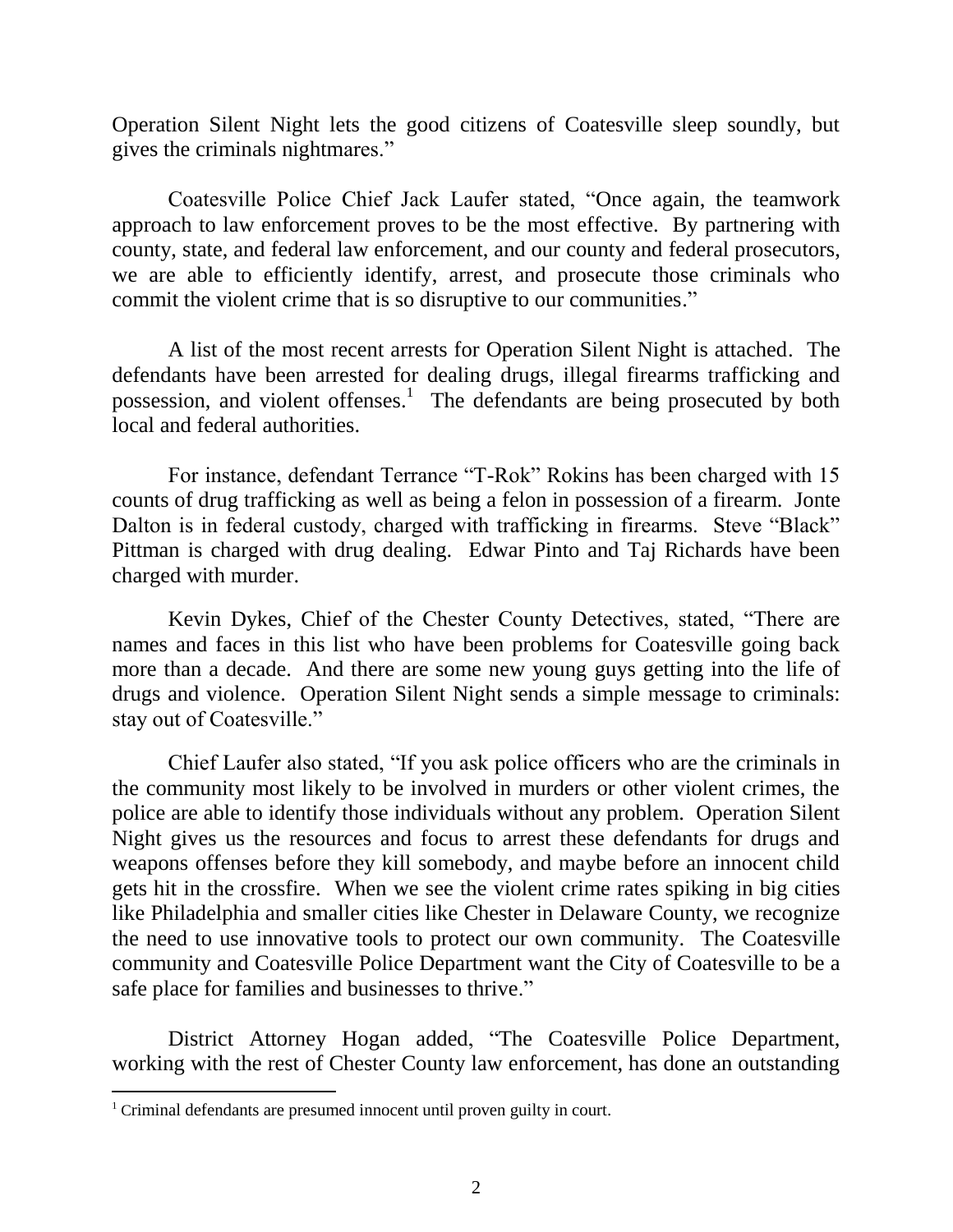Operation Silent Night lets the good citizens of Coatesville sleep soundly, but gives the criminals nightmares."

Coatesville Police Chief Jack Laufer stated, "Once again, the teamwork approach to law enforcement proves to be the most effective. By partnering with county, state, and federal law enforcement, and our county and federal prosecutors, we are able to efficiently identify, arrest, and prosecute those criminals who commit the violent crime that is so disruptive to our communities."

A list of the most recent arrests for Operation Silent Night is attached. The defendants have been arrested for dealing drugs, illegal firearms trafficking and possession, and violent offenses.<sup>1</sup> The defendants are being prosecuted by both local and federal authorities.

For instance, defendant Terrance "T-Rok" Rokins has been charged with 15 counts of drug trafficking as well as being a felon in possession of a firearm. Jonte Dalton is in federal custody, charged with trafficking in firearms. Steve "Black" Pittman is charged with drug dealing. Edwar Pinto and Taj Richards have been charged with murder.

Kevin Dykes, Chief of the Chester County Detectives, stated, "There are names and faces in this list who have been problems for Coatesville going back more than a decade. And there are some new young guys getting into the life of drugs and violence. Operation Silent Night sends a simple message to criminals: stay out of Coatesville."

Chief Laufer also stated, "If you ask police officers who are the criminals in the community most likely to be involved in murders or other violent crimes, the police are able to identify those individuals without any problem. Operation Silent Night gives us the resources and focus to arrest these defendants for drugs and weapons offenses before they kill somebody, and maybe before an innocent child gets hit in the crossfire. When we see the violent crime rates spiking in big cities like Philadelphia and smaller cities like Chester in Delaware County, we recognize the need to use innovative tools to protect our own community. The Coatesville community and Coatesville Police Department want the City of Coatesville to be a safe place for families and businesses to thrive."

District Attorney Hogan added, "The Coatesville Police Department, working with the rest of Chester County law enforcement, has done an outstanding

 $\overline{a}$ 

<sup>&</sup>lt;sup>1</sup> Criminal defendants are presumed innocent until proven guilty in court.